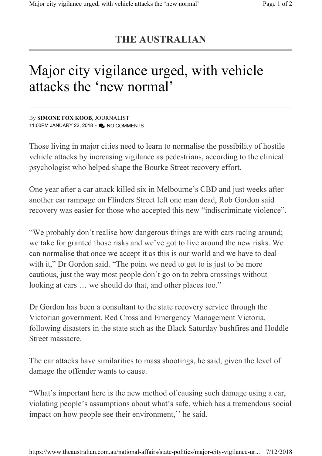## **THE AUSTRALIAN**

## Major city vigilance urged, with vehicle attacks the 'new normal'

By **SIMONE FOX KOOB**, JOURNALIST 11:00PM JANUARY 22, 2018 • A NO COMMENTS

Those living in major cities need to learn to normalise the possibility of hostile vehicle attacks by increasing vigilance as pedestrians, according to the clinical psychologist who helped shape the Bourke Street recovery effort.

One year after a car attack killed six in Melbourne's CBD and just weeks after another car rampage on Flinders Street left one man dead, Rob Gordon said recovery was easier for those who accepted this new "indiscriminate violence".

"We probably don't realise how dangerous things are with cars racing around; we take for granted those risks and we've got to live around the new risks. We can normalise that once we accept it as this is our world and we have to deal with it," Dr Gordon said. "The point we need to get to is just to be more cautious, just the way most people don't go on to zebra crossings without looking at cars … we should do that, and other places too."

Dr Gordon has been a consultant to the state recovery service through the Victorian government, Red Cross and Emergency Management Victoria, following disasters in the state such as the Black Saturday bushfires and Hoddle Street massacre.

The car attacks have similarities to mass shootings, he said, given the level of damage the offender wants to cause.

"What's important here is the new method of causing such damage using a car, violating people's assumptions about what's safe, which has a tremendous social impact on how people see their environment,'' he said.